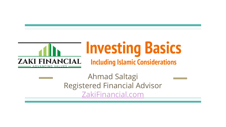

# **Investing Basics Including Islamic Considerations**

Ahmad Saltagi Registered Financial Advisor [ZakiFinancial.com](http://www.zakifinancial.com)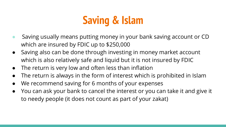### **Saving & Islam**

- Saving usually means putting money in your bank saving account or CD which are insured by FDIC up to \$250,000
- Saving also can be done through investing in money market account which is also relatively safe and liquid but it is not insured by FDIC
- The return is very low and often less than inflation
- The return is always in the form of interest which is prohibited in Islam
- We recommend saving for 6 months of your expenses
- You can ask your bank to cancel the interest or you can take it and give it to needy people (it does not count as part of your zakat)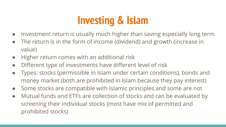## **Investing & Islam**

- Investment return is usually much higher than saving especially long term
- The return is in the form of income (dividend) and growth (increase in value)
- Higher return comes with an additional risk
- Different type of investments have different level of risk
- Types: stocks (permissible in Islam under certain conditions), bonds and money market (both are prohibited in Islam because they pay interest)
- Some stocks are compatible with Islamic principles and some are not
- Mutual funds and ETFs are collection of stocks and can be evaluated by screening their individual stocks (most have mix of permitted and prohibited stocks)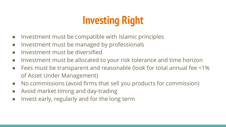# **Investing Right**

- Investment must be compatible with Islamic principles
- Investment must be managed by professionals
- Investment must be diversified
- Investment must be allocated to your risk tolerance and time horizon
- Fees must be transparent and reasonable (look for total annual fee <1% of Asset Under Management)
- No commissions (avoid firms that sell you products for commission)
- Avoid market timing and day-trading
- Invest early, regularly and for the long term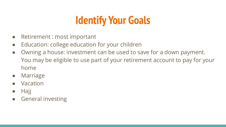### **Identify Your Goals**

- Retirement : most important
- Education: college education for your children
- Owning a house: investment can be used to save for a down payment. You may be eligible to use part of your retirement account to pay for your home
- Marriage
- **Vacation**
- **Hajj**
- **General investing**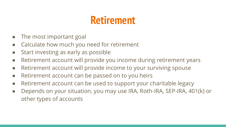### **Retirement**

- The most important goal
- Calculate how much you need for retirement
- Start investing as early as possible
- Retirement account will provide you income during retirement years
- Retirement account will provide income to your surviving spouse
- Retirement account can be passed on to you heirs
- Retirement account can be used to support your charitable legacy
- Depends on your situation, you may use IRA, Roth-IRA, SEP-IRA, 401(k) or other types of accounts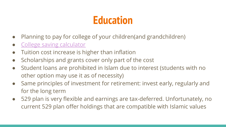### **Education**

- Planning to pay for college of your children(and grandchildren)
- [College saving calculator](https://www.schwab.com/public/schwab/investing/retirement_and_planning/saving_for_college/college_savings_calculator)
- Tuition cost increase is higher than inflation
- Scholarships and grants cover only part of the cost
- Student loans are prohibited in Islam due to interest (students with no other option may use it as of necessity)
- Same principles of investment for retirement: invest early, regularly and for the long term
- 529 plan is very flexible and earnings are tax-deferred. Unfortunately, no current 529 plan offer holdings that are compatible with Islamic values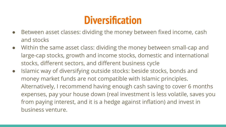### **Diversification**

- Between asset classes: dividing the money between fixed income, cash and stocks
- Within the same asset class: dividing the money between small-cap and large-cap stocks, growth and income stocks, domestic and international stocks, different sectors, and different business cycle
- Islamic way of diversifying outside stocks: beside stocks, bonds and money market funds are not compatible with Islamic principles. Alternatively, I recommend having enough cash saving to cover 6 months expenses, pay your house down (real investment is less volatile, saves you from paying interest, and it is a hedge against inflation) and invest in business venture.